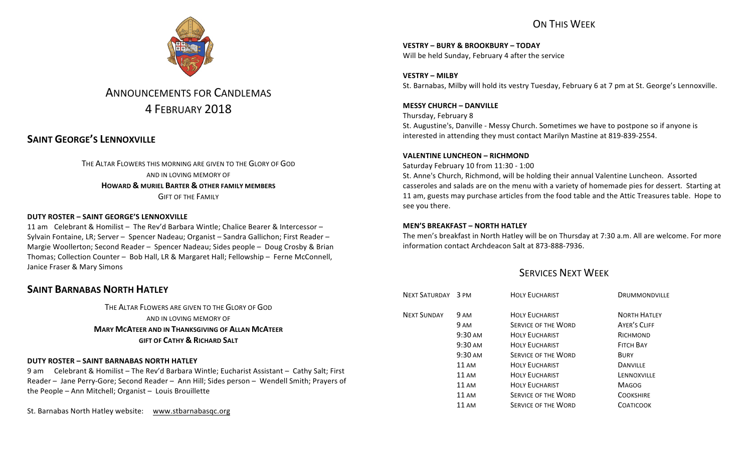

# **ANNOUNCEMENTS FOR CANDLEMAS** 4 FEBRUARY 2018

# **SAINT GEORGE'S LENNOXVILLE**

THE ALTAR FLOWERS THIS MORNING ARE GIVEN TO THE GLORY OF GOD AND IN LOVING MEMORY OF **HOWARD & MURIEL BARTER & OTHER FAMILY MEMBERS GIFT OF THE FAMILY** 

### **DUTY ROSTER – SAINT GEORGE'S LENNOXVILLE**

11 am Celebrant & Homilist – The Rev'd Barbara Wintle: Chalice Bearer & Intercessor – Sylvain Fontaine, LR; Server – Spencer Nadeau; Organist – Sandra Gallichon; First Reader – Margie Woollerton; Second Reader – Spencer Nadeau; Sides people – Doug Crosby & Brian Thomas; Collection Counter - Bob Hall, LR & Margaret Hall; Fellowship - Ferne McConnell, Janice Fraser & Mary Simons

### **SAINT BARNABAS NORTH HATLEY**

THE ALTAR FLOWERS ARE GIVEN TO THE GLORY OF GOD AND IN LOVING MEMORY OF **MARY MCATEER AND IN THANKSGIVING OF ALLAN MCATEER GIFT OF CATHY & RICHARD SALT**

### **DUTY ROSTER – SAINT BARNABAS NORTH HATLEY**

9 am Celebrant & Homilist – The Rev'd Barbara Wintle; Eucharist Assistant – Cathy Salt; First Reader – Jane Perry-Gore; Second Reader – Ann Hill; Sides person – Wendell Smith; Prayers of the People - Ann Mitchell; Organist - Louis Brouillette

St. Barnabas North Hatley website: www.stbarnabasqc.org

## ON THIS WFFK

**VESTRY – BURY & BROOKBURY – TODAY** Will be held Sunday, February 4 after the service

**VESTRY – MILBY** St. Barnabas, Milby will hold its vestry Tuesday, February 6 at 7 pm at St. George's Lennoxville.

**MESSY CHURCH – DANVILLE** Thursday, February 8 St. Augustine's, Danville - Messy Church. Sometimes we have to postpone so if anyone is interested in attending they must contact Marilyn Mastine at 819-839-2554.

#### **VALENTINE LUNCHEON – RICHMOND**

Saturday February 10 from 11:30 - 1:00 St. Anne's Church, Richmond, will be holding their annual Valentine Luncheon. Assorted casseroles and salads are on the menu with a variety of homemade pies for dessert. Starting at 11 am, guests may purchase articles from the food table and the Attic Treasures table. Hope to see you there.

### **MEN'S BREAKFAST – NORTH HATLEY**

The men's breakfast in North Hatley will be on Thursday at 7:30 a.m. All are welcome. For more information contact Archdeacon Salt at 873-888-7936.

### **SERVICES NEXT WEEK**

| NEXT SATURDAY 3 PM |                   | <b>HOLY EUCHARIST</b>      | DRUMMONDVILLE       |
|--------------------|-------------------|----------------------------|---------------------|
| <b>NEXT SUNDAY</b> | 9 AM              | <b>HOLY EUCHARIST</b>      | <b>NORTH HATLEY</b> |
|                    | 9 AM              | <b>SERVICE OF THE WORD</b> | <b>AYER'S CLIFF</b> |
|                    | $9:30 \text{ AM}$ | <b>HOLY EUCHARIST</b>      | RICHMOND            |
|                    | $9:30 \text{ AM}$ | <b>HOLY EUCHARIST</b>      | <b>FITCH BAY</b>    |
|                    | $9:30 \text{ AM}$ | <b>SERVICE OF THE WORD</b> | <b>BURY</b>         |
|                    | $11 \text{ AM}$   | <b>HOLY EUCHARIST</b>      | <b>DANVILLE</b>     |
|                    | $11 \text{ AM}$   | <b>HOLY EUCHARIST</b>      | LENNOXVILLE         |
|                    | $11 \text{ AM}$   | <b>HOLY FUCHARIST</b>      | <b>MAGOG</b>        |
|                    | <b>11 AM</b>      | <b>SERVICE OF THE WORD</b> | <b>COOKSHIRE</b>    |
|                    | 11 AM             | <b>SERVICE OF THE WORD</b> | COATICOOK           |